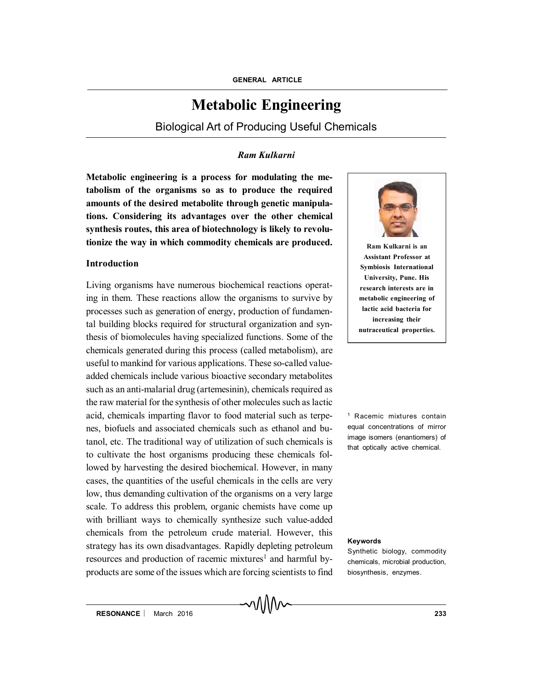# **Metabolic Engineering**

Biological Art of Producing Useful Chemicals

## *Ram Kulkarni*

∧∧∧∧

**Metabolic engineering is a process for modulating the metabolism of the organisms so as to produce the required amounts of the desired metabolite through genetic manipulations. Considering its advantages over the other chemical synthesis routes, this area of biotechnology is likely to revolutionize the way in which commodity chemicals are produced.**

## **Introduction**

Living organisms have numerous biochemical reactions operating in them. These reactions allow the organisms to survive by processes such as generation of energy, production of fundamental building blocks required for structural organization and synthesis of biomolecules having specialized functions. Some of the chemicals generated during this process (called metabolism), are useful to mankind for various applications. These so-called valueadded chemicals include various bioactive secondary metabolites such as an anti-malarial drug (artemesinin), chemicals required as the raw material for the synthesis of other molecules such as lactic acid, chemicals imparting flavor to food material such as terpenes, biofuels and associated chemicals such as ethanol and butanol, etc. The traditional way of utilization of such chemicals is to cultivate the host organisms producing these chemicals followed by harvesting the desired biochemical. However, in many cases, the quantities of the useful chemicals in the cells are very low, thus demanding cultivation of the organisms on a very large scale. To address this problem, organic chemists have come up with brilliant ways to chemically synthesize such value-added chemicals from the petroleum crude material. However, this strategy has its own disadvantages. Rapidly depleting petroleum resources and production of racemic mixtures<sup>1</sup> and harmful byproducts are some of the issues which are forcing scientists to find



**Ram Kulkarni is an is** Assistant Professor at **Symbiosis International University, Pune. His research interests are in metabolic engineering of lactic acid bacteria for increasing their nutraceutical properties.**

<sup>1</sup> Racemic mixtures contain equal concentrations of mirror image isomers (enantiomers) of that optically active chemical.

#### **Keywords**

Synthetic biology, commodity chemicals, microbial production, biosynthesis, enzymes.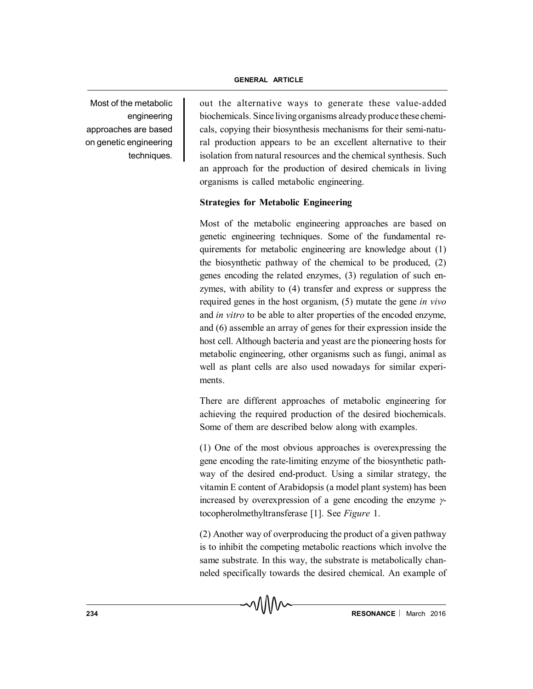#### **GENERAL ARTICLE**

Most of the metabolic engineering approaches are based on genetic engineering techniques.

out the alternative ways to generate these value-added biochemicals. Since living organisms already produce these chemicals, copying their biosynthesis mechanisms for their semi-natural production appears to be an excellent alternative to their isolation from natural resources and the chemical synthesis. Such an approach for the production of desired chemicals in living organisms is called metabolic engineering.

## **Strategies for Metabolic Engineering**

Most of the metabolic engineering approaches are based on genetic engineering techniques. Some of the fundamental requirements for metabolic engineering are knowledge about (1) the biosynthetic pathway of the chemical to be produced, (2) genes encoding the related enzymes, (3) regulation of such enzymes, with ability to (4) transfer and express or suppress the required genes in the host organism, (5) mutate the gene *in vivo* and *in vitro* to be able to alter properties of the encoded enzyme, and (6) assemble an array of genes for their expression inside the host cell. Although bacteria and yeast are the pioneering hosts for metabolic engineering, other organisms such as fungi, animal as well as plant cells are also used nowadays for similar experiments.

There are different approaches of metabolic engineering for achieving the required production of the desired biochemicals. Some of them are described below along with examples.

(1) One of the most obvious approaches is overexpressing the gene encoding the rate-limiting enzyme of the biosynthetic pathway of the desired end-product. Using a similar strategy, the vitamin E content of Arabidopsis (a model plant system) has been increased by overexpression of a gene encoding the enzyme  $\gamma$ tocopherolmethyltransferase [1]. See *Figure* 1.

(2) Another way of overproducing the product of a given pathway is to inhibit the competing metabolic reactions which involve the same substrate. In this way, the substrate is metabolically channeled specifically towards the desired chemical. An example of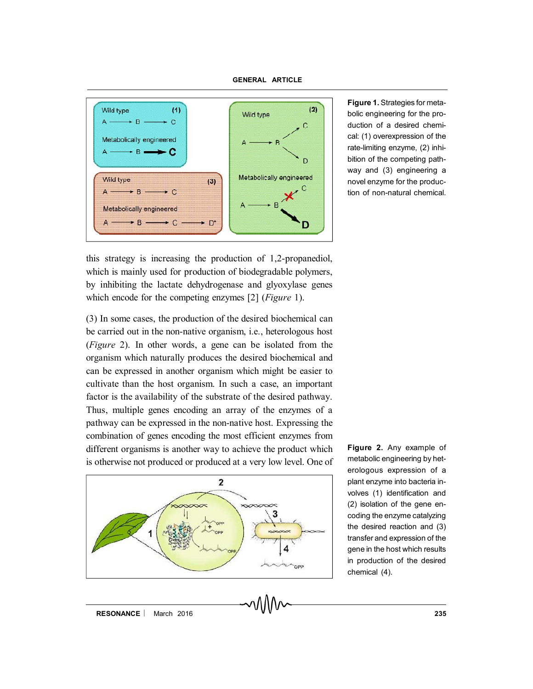

**Figure 1.** Strategies for metabolic engineering for the production of a desired chemical: (1) overexpression of the rate-limiting enzyme, (2) inhibition of the competing pathway and (3) engineering a novel enzyme for the production of non-natural chemical.

this strategy is increasing the production of 1,2-propanediol, which is mainly used for production of biodegradable polymers, by inhibiting the lactate dehydrogenase and glyoxylase genes which encode for the competing enzymes [2] (*Figure* 1).

(3) In some cases, the production of the desired biochemical can be carried out in the non-native organism, i.e., heterologous host (*Figure* 2). In other words, a gene can be isolated from the organism which naturally produces the desired biochemical and can be expressed in another organism which might be easier to cultivate than the host organism. In such a case, an important factor is the availability of the substrate of the desired pathway. Thus, multiple genes encoding an array of the enzymes of a pathway can be expressed in the non-native host. Expressing the combination of genes encoding the most efficient enzymes from different organisms is another way to achieve the product which is otherwise not produced or produced at a very low level. One of



**Figure 2.** Any example of metabolic engineering by heterologous expression of a plant enzyme into bacteria involves (1) identification and (2) isolation of the gene encoding the enzyme catalyzing the desired reaction and (3) transfer and expression of the gene in the host which results in production of the desired chemical (4).

**RESONANCE** | March 2016 **235**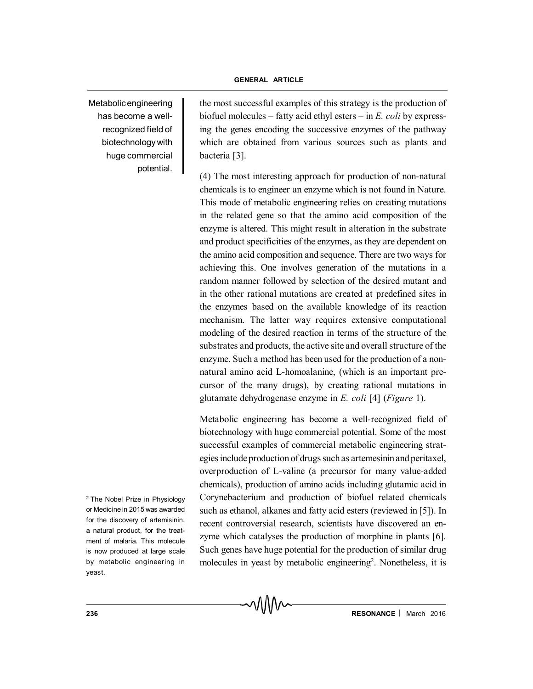Metabolic engineering has become a wellrecognized field of biotechnology with huge commercial potential.

the most successful examples of this strategy is the production of biofuel molecules – fatty acid ethyl esters – in *E. coli* by expressing the genes encoding the successive enzymes of the pathway which are obtained from various sources such as plants and bacteria [3].

(4) The most interesting approach for production of non-natural chemicals is to engineer an enzyme which is not found in Nature. This mode of metabolic engineering relies on creating mutations in the related gene so that the amino acid composition of the enzyme is altered. This might result in alteration in the substrate and product specificities of the enzymes, as they are dependent on the amino acid composition and sequence. There are two ways for achieving this. One involves generation of the mutations in a random manner followed by selection of the desired mutant and in the other rational mutations are created at predefined sites in the enzymes based on the available knowledge of its reaction mechanism. The latter way requires extensive computational modeling of the desired reaction in terms of the structure of the substrates and products, the active site and overall structure of the enzyme. Such a method has been used for the production of a nonnatural amino acid L-homoalanine, (which is an important precursor of the many drugs), by creating rational mutations in glutamate dehydrogenase enzyme in *E. coli* [4] (*Figure* 1).

Metabolic engineering has become a well-recognized field of biotechnology with huge commercial potential. Some of the most successful examples of commercial metabolic engineering strategies include production of drugs such as artemesinin and peritaxel, overproduction of L-valine (a precursor for many value-added chemicals), production of amino acids including glutamic acid in Corynebacterium and production of biofuel related chemicals such as ethanol, alkanes and fatty acid esters (reviewed in [5]). In recent controversial research, scientists have discovered an enzyme which catalyses the production of morphine in plants [6]. Such genes have huge potential for the production of similar drug molecules in yeast by metabolic engineering<sup>2</sup>. Nonetheless, it is

<sup>2</sup> The Nobel Prize in Physiology or Medicine in 2015 was awarded for the discovery of artemisinin, a natural product, for the treatment of malaria. This molecule is now produced at large scale by metabolic engineering in yeast.